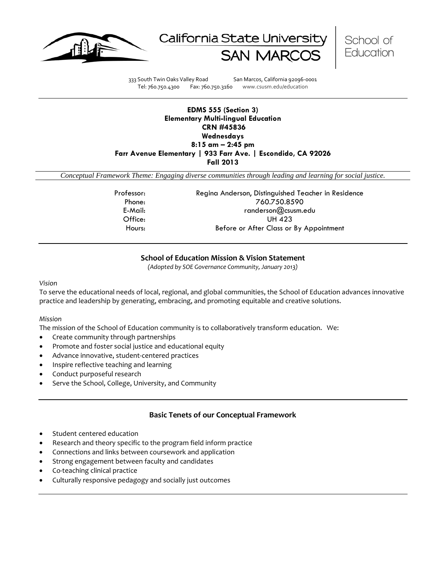





333 South Twin Oaks Valley Road San Marcos, California 92096-0001 Tel: 760.750.4300 Fax: 760.750.3160 www.csusm.edu/education

#### **EDMS 555 (Section 3) Elementary Multi-lingual Education CRN #45836 Wednesdays 8:15 am – 2:45 pm Farr Avenue Elementary | 933 Farr Ave. | Escondido, CA 92026 Fall 2013**

*Conceptual Framework Theme: Engaging diverse communities through leading and learning for social justice.*

Professor: Regina Anderson, Distinguished Teacher in Residence Phone: 760.750.8590 E-Mail: randerson@csusm.edu Office: UH 423 Hours: Before or After Class or By Appointment

## **School of Education Mission & Vision Statement**

*(Adopted by SOE Governance Community, January 2013)*

*Vision*

To serve the educational needs of local, regional, and global communities, the School of Education advances innovative practice and leadership by generating, embracing, and promoting equitable and creative solutions.

#### *Mission*

The mission of the School of Education community is to collaboratively transform education. We:

- Create community through partnerships
- Promote and foster social justice and educational equity
- Advance innovative, student-centered practices
- Inspire reflective teaching and learning
- Conduct purposeful research
- Serve the School, College, University, and Community

## **Basic Tenets of our Conceptual Framework**

- Student centered education
- Research and theory specific to the program field inform practice
- Connections and links between coursework and application
- Strong engagement between faculty and candidates
- Co-teaching clinical practice
- Culturally responsive pedagogy and socially just outcomes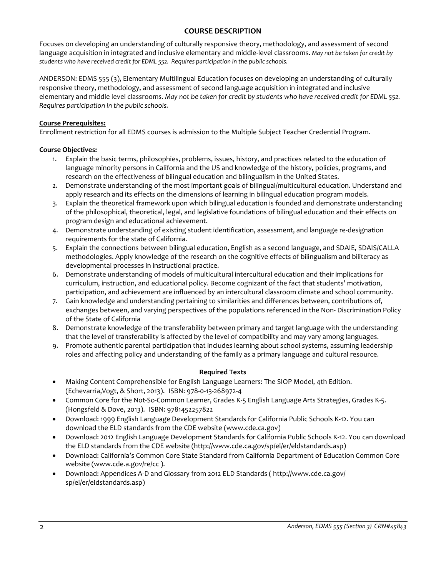## **COURSE DESCRIPTION**

Focuses on developing an understanding of culturally responsive theory, methodology, and assessment of second language acquisition in integrated and inclusive elementary and middle-level classrooms. *May not be taken for credit by students who have received credit for EDML 552. Requires participation in the public schools.* 

ANDERSON: EDMS 555 (3), Elementary Multilingual Education focuses on developing an understanding of culturally responsive theory, methodology, and assessment of second language acquisition in integrated and inclusive elementary and middle level classrooms. *May not be taken for credit by students who have received credit for EDML 552. Requires participation in the public schools.*

## **Course Prerequisites:**

Enrollment restriction for all EDMS courses is admission to the Multiple Subject Teacher Credential Program.

## **Course Objectives:**

- 1. Explain the basic terms, philosophies, problems, issues, history, and practices related to the education of language minority persons in California and the US and knowledge of the history, policies, programs, and research on the effectiveness of bilingual education and bilingualism in the United States.
- 2. Demonstrate understanding of the most important goals of bilingual/multicultural education. Understand and apply research and its effects on the dimensions of learning in bilingual education program models.
- 3. Explain the theoretical framework upon which bilingual education is founded and demonstrate understanding of the philosophical, theoretical, legal, and legislative foundations of bilingual education and their effects on program design and educational achievement.
- 4. Demonstrate understanding of existing student identification, assessment, and language re-designation requirements for the state of California.
- 5. Explain the connections between bilingual education, English as a second language, and SDAIE, SDAIS/CALLA methodologies. Apply knowledge of the research on the cognitive effects of bilingualism and biliteracy as developmental processes in instructional practice.
- 6. Demonstrate understanding of models of multicultural intercultural education and their implications for curriculum, instruction, and educational policy. Become cognizant of the fact that students' motivation, participation, and achievement are influenced by an intercultural classroom climate and school community.
- 7. Gain knowledge and understanding pertaining to similarities and differences between, contributions of, exchanges between, and varying perspectives of the populations referenced in the Non- Discrimination Policy of the State of California
- 8. Demonstrate knowledge of the transferability between primary and target language with the understanding that the level of transferability is affected by the level of compatibility and may vary among languages.
- 9. Promote authentic parental participation that includes learning about school systems, assuming leadership roles and affecting policy and understanding of the family as a primary language and cultural resource.

## **Required Texts**

- Making Content Comprehensible for English Language Learners: The SIOP Model, 4th Edition. (Echevarria,Vogt, & Short, 2013). ISBN: 978-0-13-268972-4
- Common Core for the Not-So-Common Learner, Grades K-5 English Language Arts Strategies, Grades K-5. (Hongsfeld & Dove, 2013). ISBN: 9781452257822
- Download: 1999 English Language Development Standards for California Public Schools K-12. You can download the ELD standards from the CDE website (www.cde.ca.gov)
- Download: 2012 English Language Development Standards for California Public Schools K-12. You can download the ELD standards from the CDE website (http://www.cde.ca.gov/sp/el/er/eldstandards.asp)
- Download: California's Common Core State Standard from California Department of Education Common Core website (www.cde.a.gov/re/cc ).
- Download: Appendices A-D and Glossary from 2012 ELD Standards ( http://www.cde.ca.gov/ sp/el/er/eldstandards.asp)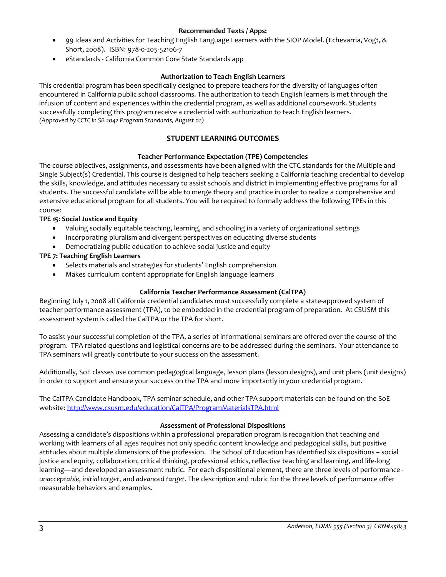## **Recommended Texts / Apps:**

- 99 Ideas and Activities for Teaching English Language Learners with the SIOP Model. (Echevarria, Vogt, & Short, 2008). ISBN: 978-0-205-52106-7
- eStandards California Common Core State Standards app

# **Authorization to Teach English Learners**

This credential program has been specifically designed to prepare teachers for the diversity of languages often encountered in California public school classrooms. The authorization to teach English learners is met through the infusion of content and experiences within the credential program, as well as additional coursework. Students successfully completing this program receive a credential with authorization to teach English learners. *(Approved by CCTC in SB 2042 Program Standards, August 02)*

# **STUDENT LEARNING OUTCOMES**

# **Teacher Performance Expectation (TPE) Competencies**

The course objectives, assignments, and assessments have been aligned with the CTC standards for the Multiple and Single Subject(s) Credential. This course is designed to help teachers seeking a California teaching credential to develop the skills, knowledge, and attitudes necessary to assist schools and district in implementing effective programs for all students. The successful candidate will be able to merge theory and practice in order to realize a comprehensive and extensive educational program for all students. You will be required to formally address the following TPEs in this course:

# **TPE 15: Social Justice and Equity**

- Valuing socially equitable teaching, learning, and schooling in a variety of organizational settings
- Incorporating pluralism and divergent perspectives on educating diverse students
- Democratizing public education to achieve social justice and equity

# **TPE 7: Teaching English Learners**

- Selects materials and strategies for students' English comprehension
- Makes curriculum content appropriate for English language learners

## **California Teacher Performance Assessment (CalTPA)**

Beginning July 1, 2008 all California credential candidates must successfully complete a state-approved system of teacher performance assessment (TPA), to be embedded in the credential program of preparation. At CSUSM this assessment system is called the CalTPA or the TPA for short.

To assist your successful completion of the TPA, a series of informational seminars are offered over the course of the program. TPA related questions and logistical concerns are to be addressed during the seminars. Your attendance to TPA seminars will greatly contribute to your success on the assessment.

Additionally, SoE classes use common pedagogical language, lesson plans (lesson designs), and unit plans (unit designs) in order to support and ensure your success on the TPA and more importantly in your credential program.

The CalTPA Candidate Handbook, TPA seminar schedule, and other TPA support materials can be found on the SoE website:<http://www.csusm.edu/education/CalTPA/ProgramMaterialsTPA.html>

## **Assessment of Professional Dispositions**

Assessing a candidate's dispositions within a professional preparation program is recognition that teaching and working with learners of all ages requires not only specific content knowledge and pedagogical skills, but positive attitudes about multiple dimensions of the profession. The School of Education has identified six dispositions – social justice and equity, collaboration, critical thinking, professional ethics, reflective teaching and learning, and life-long learning—and developed an assessment rubric. For each dispositional element, there are three levels of performance *unacceptable*, *initial target*, and *advanced target*. The description and rubric for the three levels of performance offer measurable behaviors and examples.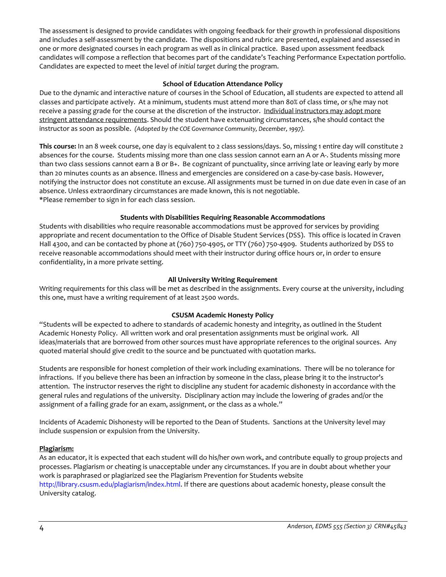The assessment is designed to provide candidates with ongoing feedback for their growth in professional dispositions and includes a self-assessment by the candidate. The dispositions and rubric are presented, explained and assessed in one or more designated courses in each program as well as in clinical practice. Based upon assessment feedback candidates will compose a reflection that becomes part of the candidate's Teaching Performance Expectation portfolio. Candidates are expected to meet the level of *initial target* during the program.

#### **School of Education Attendance Policy**

Due to the dynamic and interactive nature of courses in the School of Education, all students are expected to attend all classes and participate actively. At a minimum, students must attend more than 80% of class time, or s/he may not receive a passing grade for the course at the discretion of the instructor. Individual instructors may adopt more stringent attendance requirements. Should the student have extenuating circumstances, s/he should contact the instructor as soon as possible. *(Adopted by the COE Governance Community, December, 1997).*

**This course:** In an 8 week course, one day is equivalent to 2 class sessions/days. So, missing 1 entire day will constitute 2 absences for the course. Students missing more than one class session cannot earn an A or A-. Students missing more than two class sessions cannot earn a B or B+. Be cognizant of punctuality, since arriving late or leaving early by more than 20 minutes counts as an absence. Illness and emergencies are considered on a case-by-case basis. However, notifying the instructor does not constitute an excuse. All assignments must be turned in on due date even in case of an absence. Unless extraordinary circumstances are made known, this is not negotiable. \*Please remember to sign in for each class session.

#### **Students with Disabilities Requiring Reasonable Accommodations**

Students with disabilities who require reasonable accommodations must be approved for services by providing appropriate and recent documentation to the Office of Disable Student Services (DSS). This office is located in Craven Hall 4300, and can be contacted by phone at (760) 750-4905, or TTY (760) 750-4909. Students authorized by DSS to receive reasonable accommodations should meet with their instructor during office hours or, in order to ensure confidentiality, in a more private setting.

## **All University Writing Requirement**

Writing requirements for this class will be met as described in the assignments. Every course at the university, including this one, must have a writing requirement of at least 2500 words.

## **CSUSM Academic Honesty Policy**

"Students will be expected to adhere to standards of academic honesty and integrity, as outlined in the Student Academic Honesty Policy. All written work and oral presentation assignments must be original work. All ideas/materials that are borrowed from other sources must have appropriate references to the original sources. Any quoted material should give credit to the source and be punctuated with quotation marks.

Students are responsible for honest completion of their work including examinations. There will be no tolerance for infractions. If you believe there has been an infraction by someone in the class, please bring it to the instructor's attention. The instructor reserves the right to discipline any student for academic dishonesty in accordance with the general rules and regulations of the university. Disciplinary action may include the lowering of grades and/or the assignment of a failing grade for an exam, assignment, or the class as a whole."

Incidents of Academic Dishonesty will be reported to the Dean of Students. Sanctions at the University level may include suspension or expulsion from the University.

## **Plagiarism:**

As an educator, it is expected that each student will do his/her own work, and contribute equally to group projects and processes. Plagiarism or cheating is unacceptable under any circumstances. If you are in doubt about whether your work is paraphrased or plagiarized see the Plagiarism Prevention for Students website http://library.csusm.edu/plagiarism/index.html. If there are questions about academic honesty, please consult the University catalog.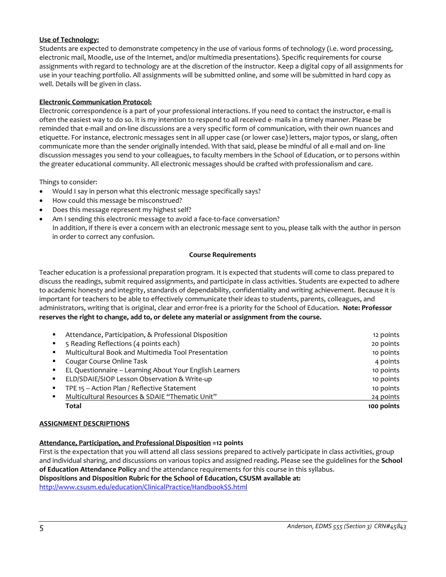## **Use of Technology:**

Students are expected to demonstrate competency in the use of various forms of technology (i.e. word processing, electronic mail, Moodle, use of the Internet, and/or multimedia presentations). Specific requirements for course assignments with regard to technology are at the discretion of the instructor. Keep a digital copy of all assignments for use in your teaching portfolio. All assignments will be submitted online, and some will be submitted in hard copy as well. Details will be given in class.

#### **Electronic Communication Protocol:**

Electronic correspondence is a part of your professional interactions. If you need to contact the instructor, e-mail is often the easiest way to do so. It is my intention to respond to all received e- mails in a timely manner. Please be reminded that e-mail and on-line discussions are a very specific form of communication, with their own nuances and etiquette. For instance, electronic messages sent in all upper case (or lower case) letters, major typos, or slang, often communicate more than the sender originally intended. With that said, please be mindful of all e-mail and on- line discussion messages you send to your colleagues, to faculty members in the School of Education, or to persons within the greater educational community. All electronic messages should be crafted with professionalism and care.

Things to consider:

- Would I say in person what this electronic message specifically says?
- How could this message be misconstrued?
- Does this message represent my highest self?
- Am I sending this electronic message to avoid a face-to-face conversation? In addition, if there is ever a concern with an electronic message sent to you, please talk with the author in person in order to correct any confusion.

#### **Course Requirements**

Teacher education is a professional preparation program. It is expected that students will come to class prepared to discuss the readings, submit required assignments, and participate in class activities. Students are expected to adhere to academic honesty and integrity, standards of dependability, confidentiality and writing achievement. Because it is important for teachers to be able to effectively communicate their ideas to students, parents, colleagues, and administrators, writing that is original, clear and error-free is a priority for the School of Education. **Note: Professor reserves the right to change, add to, or delete any material or assignment from the course.**

| ٠            | Attendance, Participation, & Professional Disposition   | 12 points  |
|--------------|---------------------------------------------------------|------------|
| $\mathbf{m}$ | 5 Reading Reflections (4 points each)                   | 20 points  |
| ٠            | Multicultural Book and Multimedia Tool Presentation     | 10 points  |
| ٠            | Cougar Course Online Task                               | 4 points   |
| ٠            | EL Questionnaire - Learning About Your English Learners | 10 points  |
| ٠            | ELD/SDAIE/SIOP Lesson Observation & Write-up            | 10 points  |
| ٠            | TPE 15 - Action Plan / Reflective Statement             | 10 points  |
| ٠            | Multicultural Resources & SDAIE "Thematic Unit"         | 24 points  |
|              | Total                                                   | 100 points |

#### **ASSIGNMENT DESCRIPTIONS**

## **Attendance, Participation, and Professional Disposition =12 points**

First is the expectation that you will attend all class sessions prepared to actively participate in class activities, group and individual sharing, and discussions on various topics and assigned reading**.** Please see the guidelines for the **School of Education Attendance Policy** and the attendance requirements for this course in this syllabus. **Dispositions and Disposition Rubric for the School of Education, CSUSM available at:**

<http://www.csusm.edu/education/ClinicalPractice/HandbookSS.html>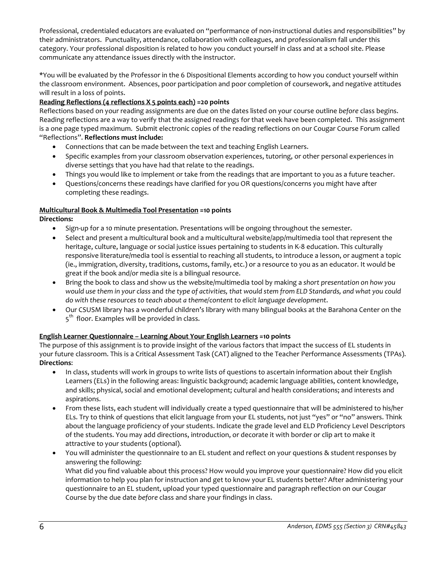Professional, credentialed educators are evaluated on "performance of non-instructional duties and responsibilities" by their administrators. Punctuality, attendance, collaboration with colleagues, and professionalism fall under this category. Your professional disposition is related to how you conduct yourself in class and at a school site. Please communicate any attendance issues directly with the instructor.

\*You will be evaluated by the Professor in the 6 Dispositional Elements according to how you conduct yourself within the classroom environment. Absences, poor participation and poor completion of coursework, and negative attitudes will result in a loss of points.

# **Reading Reflections (4 reflections X 5 points each) =20 points**

Reflections based on your reading assignments are due on the dates listed on your course outline *before* class begins. Reading reflections are a way to verify that the assigned readings for that week have been completed. This assignment is a one page typed maximum. Submit electronic copies of the reading reflections on our Cougar Course Forum called "Reflections". **Reflections must include:**

- Connections that can be made between the text and teaching English Learners.
- Specific examples from your classroom observation experiences, tutoring, or other personal experiences in diverse settings that you have had that relate to the readings.
- Things you would like to implement or take from the readings that are important to you as a future teacher.
- Questions/concerns these readings have clarified for you OR questions/concerns you might have after completing these readings.

## **Multicultural Book & Multimedia Tool Presentation =10 points**

**Directions:**

- Sign-up for a 10 minute presentation. Presentations will be ongoing throughout the semester.
- Select and present a multicultural book and a multicultural website/app/multimedia tool that represent the heritage, culture, language or social justice issues pertaining to students in K-8 education. This culturally responsive literature/media tool is essential to reaching all students, to introduce a lesson, or augment a topic (ie., immigration, diversity, traditions, customs, family, etc.) or a resource to you as an educator. It would be great if the book and/or media site is a bilingual resource.
- Bring the book to class and show us the website/multimedia tool by making a *short presentation on how you would use them in your class* and *the type of activities, that would stem from ELD Standards, and what you could do with these resources to teach about a theme/content to elicit language development*.
- Our CSUSM library has a wonderful children's library with many bilingual books at the Barahona Center on the  $5<sup>th</sup>$  floor. Examples will be provided in class.

## **English Learner Questionnaire – Learning About Your English Learners =10 points**

Course by the due date *before* class and share your findings in class.

The purpose of this assignment is to provide insight of the various factors that impact the success of EL students in your future classroom. This is a Critical Assessment Task (CAT) aligned to the Teacher Performance Assessments (TPAs). **Directions**:

- In class, students will work in groups to write lists of questions to ascertain information about their English Learners (ELs) in the following areas: linguistic background; academic language abilities, content knowledge, and skills; physical, social and emotional development; cultural and health considerations; and interests and aspirations.
- From these lists, each student will individually create a typed questionnaire that will be administered to his/her ELs. Try to think of questions that elicit language from your EL students, not just "yes" or "no" answers. Think about the language proficiency of your students. Indicate the grade level and ELD Proficiency Level Descriptors of the students. You may add directions, introduction, or decorate it with border or clip art to make it attractive to your students (optional).
- You will administer the questionnaire to an EL student and reflect on your questions & student responses by answering the following: What did you find valuable about this process? How would you improve your questionnaire? How did you elicit information to help you plan for instruction and get to know your EL students better? After administering your questionnaire to an EL student, upload your typed questionnaire and paragraph reflection on our Cougar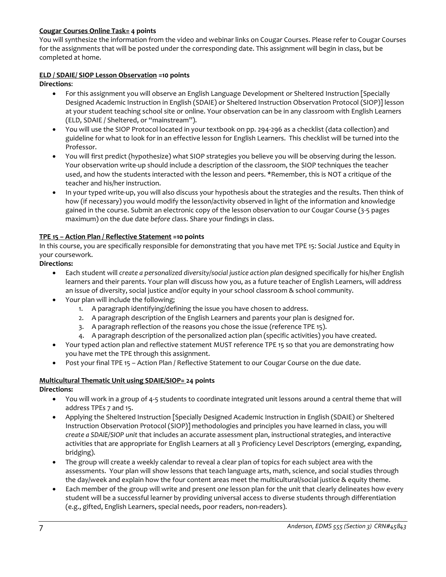## **Cougar Courses Online Task= 4 points**

You will synthesize the information from the video and webinar links on Cougar Courses. Please refer to Cougar Courses for the assignments that will be posted under the corresponding date. This assignment will begin in class, but be completed at home.

## **ELD / SDAIE/ SIOP Lesson Observation =10 points**

**Directions**:

- For this assignment you will observe an English Language Development or Sheltered Instruction [Specially Designed Academic Instruction in English (SDAIE) or Sheltered Instruction Observation Protocol (SIOP)] lesson at your student teaching school site or online. Your observation can be in any classroom with English Learners (ELD, SDAIE / Sheltered, or "mainstream").
- You will use the SIOP Protocol located in your textbook on pp. 294-296 as a checklist (data collection) and guideline for what to look for in an effective lesson for English Learners. This checklist will be turned into the Professor.
- You will first predict (hypothesize) what SIOP strategies you believe you will be observing during the lesson. Your observation write-up should include a description of the classroom, the SIOP techniques the teacher used, and how the students interacted with the lesson and peers. \*Remember, this is NOT a critique of the teacher and his/her instruction.
- In your typed write-up, you will also discuss your hypothesis about the strategies and the results. Then think of how (if necessary) you would modify the lesson/activity observed in light of the information and knowledge gained in the course. Submit an electronic copy of the lesson observation to our Cougar Course (3-5 pages maximum) on the due date *before* class. Share your findings in class.

# **TPE 15 – Action Plan / Reflective Statement =10 points**

In this course, you are specifically responsible for demonstrating that you have met TPE 15: Social Justice and Equity in your coursework.

## **Directions:**

- Each student will *create a personalized diversity/social justice action plan* designed specifically for his/her English learners and their parents. Your plan will discuss how you, as a future teacher of English Learners, will address an issue of diversity, social justice and/or equity in your school classroom & school community.
- Your plan will include the following;
	- 1. A paragraph identifying/defining the issue you have chosen to address.
	- 2. A paragraph description of the English Learners and parents your plan is designed for.
	- 3. A paragraph reflection of the reasons you chose the issue (reference TPE 15).
	- 4. A paragraph description of the personalized action plan (specific activities) you have created.
- Your typed action plan and reflective statement MUST reference TPE 15 so that you are demonstrating how you have met the TPE through this assignment.
- Post your final TPE 15 Action Plan / Reflective Statement to our Cougar Course on the due date.

# **Multicultural Thematic Unit using SDAIE/SIOP= 24 points**

## **Directions:**

- You will work in a group of 4-5 students to coordinate integrated unit lessons around a central theme that will address TPEs 7 and 15.
- Applying the Sheltered Instruction [Specially Designed Academic Instruction in English (SDAIE) or Sheltered Instruction Observation Protocol (SIOP)] methodologies and principles you have learned in class, you will *create a SDAIE/SIOP unit* that includes an accurate assessment plan, instructional strategies, and interactive activities that are appropriate for English Learners at all 3 Proficiency Level Descriptors (emerging, expanding, bridging).
- The group will create a weekly calendar to reveal a clear plan of topics for each subject area with the assessments. Your plan will show lessons that teach language arts, math, science, and social studies through the day/week and explain how the four content areas meet the multicultural/social justice & equity theme.
- Each member of the group will write and present *one* lesson plan for the unit that clearly delineates how every student will be a successful learner by providing universal access to diverse students through differentiation (e.g., gifted, English Learners, special needs, poor readers, non-readers).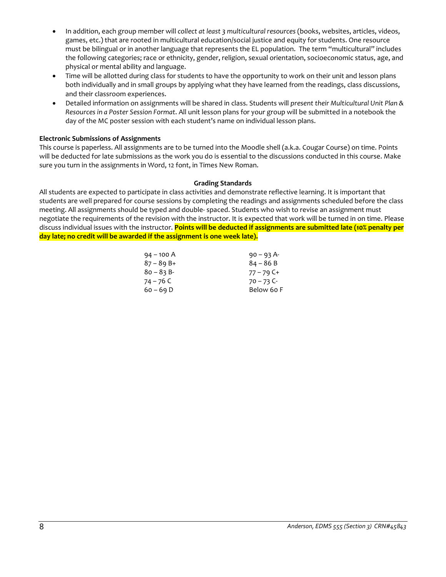- In addition, each group member will *collect at least 3 multicultural resources* (books, websites, articles, videos, games, etc.) that are rooted in multicultural education/social justice and equity for students. One resource must be bilingual or in another language that represents the EL population. The term "multicultural" includes the following categories; race or ethnicity, gender, religion, sexual orientation, socioeconomic status, age, and physical or mental ability and language.
- Time will be allotted during class for students to have the opportunity to work on their unit and lesson plans both individually and in small groups by applying what they have learned from the readings, class discussions, and their classroom experiences.
- Detailed information on assignments will be shared in class. Students will *present their Multicultural Unit Plan & Resources in a Poster Session Format*. All unit lesson plans for your group will be submitted in a notebook the day of the MC poster session with each student's name on individual lesson plans.

## **Electronic Submissions of Assignments**

This course is paperless. All assignments are to be turned into the Moodle shell (a.k.a. Cougar Course) on time. Points will be deducted for late submissions as the work you do is essential to the discussions conducted in this course. Make sure you turn in the assignments in Word, 12 font, in Times New Roman.

#### **Grading Standards**

All students are expected to participate in class activities and demonstrate reflective learning. It is important that students are well prepared for course sessions by completing the readings and assignments scheduled before the class meeting. All assignments should be typed and double- spaced. Students who wish to revise an assignment must negotiate the requirements of the revision with the instructor. It is expected that work will be turned in on time. Please discuss individual issues with the instructor. **Points will be deducted if assignments are submitted late (10% penalty per day late; no credit will be awarded if the assignment is one week late).**

| 94 – 100 A | $90 - 93$ A- |
|------------|--------------|
| 87 – 89 B+ | 84 – 86 B    |
| 80 – 83 B- | 77 – 79 C+   |
| 74 – 76 C  | $70 - 73$ C- |
| 60 – 69 D  | Below 60 F   |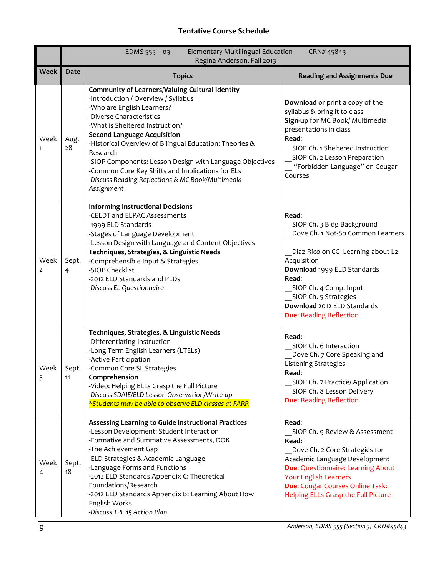# **Tentative Course Schedule**

|                        | <b>Elementary Multilingual Education</b><br>EDMS $555 - 03$<br>CRN# 45843<br>Regina Anderson, Fall 2013 |                                                                                                                                                                                                                                                                                                                                                                                                                                                                                            |                                                                                                                                                                                                                                                                                           |  |  |
|------------------------|---------------------------------------------------------------------------------------------------------|--------------------------------------------------------------------------------------------------------------------------------------------------------------------------------------------------------------------------------------------------------------------------------------------------------------------------------------------------------------------------------------------------------------------------------------------------------------------------------------------|-------------------------------------------------------------------------------------------------------------------------------------------------------------------------------------------------------------------------------------------------------------------------------------------|--|--|
| <b>Week</b>            | Date                                                                                                    | <b>Topics</b>                                                                                                                                                                                                                                                                                                                                                                                                                                                                              | <b>Reading and Assignments Due</b>                                                                                                                                                                                                                                                        |  |  |
| Week<br>$\mathbf{1}$   | Aug.<br>28                                                                                              | <b>Community of Learners/Valuing Cultural Identity</b><br>-Introduction / Overview / Syllabus<br>-Who are English Learners?<br>-Diverse Characteristics<br>-What is Sheltered Instruction?<br><b>Second Language Acquisition</b><br>-Historical Overview of Bilingual Education: Theories &<br>Research<br>-SIOP Components: Lesson Design with Language Objectives<br>-Common Core Key Shifts and Implications for ELs<br>-Discuss Reading Reflections & MC Book/Multimedia<br>Assignment | <b>Download</b> or print a copy of the<br>syllabus & bring it to class<br>Sign-up for MC Book/ Multimedia<br>presentations in class<br>Read:<br>SIOP Ch. 1 Sheltered Instruction<br>SIOP Ch. 2 Lesson Preparation<br>"Forbidden Language" on Cougar<br>Courses                            |  |  |
| Week<br>$\overline{2}$ | Sept.<br>4                                                                                              | <b>Informing Instructional Decisions</b><br>-CELDT and ELPAC Assessments<br>-1999 ELD Standards<br>-Stages of Language Development<br>-Lesson Design with Language and Content Objectives<br>Techniques, Strategies, & Linguistic Needs<br>-Comprehensible Input & Strategies<br>-SIOP Checklist<br>-2012 ELD Standards and PLDs<br>-Discuss EL Questionnaire                                                                                                                              | Read:<br>SIOP Ch. 3 Bldg Background<br>Dove Ch. 1 Not-So Common Learners<br>Diaz-Rico on CC- Learning about L2<br>Acquisition<br>Download 1999 ELD Standards<br>Read:<br>SIOP Ch. 4 Comp. Input<br>SIOP Ch. 5 Strategies<br>Download 2012 ELD Standards<br><b>Due: Reading Reflection</b> |  |  |
| Week<br>3              | Sept.<br>11                                                                                             | Techniques, Strategies, & Linguistic Needs<br>-Differentiating Instruction<br>-Long Term English Learners (LTELs)<br>-Active Participation<br>-Common Core SL Strategies<br>Comprehension<br>-Video: Helping ELLs Grasp the Full Picture<br>-Discuss SDAIE/ELD Lesson Observation/Write-up<br>*Students may be able to observe ELD classes at FARR                                                                                                                                         | Read:<br>SIOP Ch. 6 Interaction<br>Dove Ch. 7 Core Speaking and<br>Listening Strategies<br>Read:<br>SIOP Ch. 7 Practice/ Application<br>SIOP Ch. 8 Lesson Delivery<br><b>Due: Reading Reflection</b>                                                                                      |  |  |
| Week<br>4              | Sept.<br>18                                                                                             | Assessing Learning to Guide Instructional Practices<br>-Lesson Development: Student Interaction<br>-Formative and Summative Assessments, DOK<br>-The Achievement Gap<br>-ELD Strategies & Academic Language<br>-Language Forms and Functions<br>-2012 ELD Standards Appendix C: Theoretical<br>Foundations/Research<br>-2012 ELD Standards Appendix B: Learning About How<br>English Works<br>-Discuss TPE 15 Action Plan                                                                  | Read:<br>SIOP Ch. 9 Review & Assessment<br>Read:<br>Dove Ch. 2 Core Strategies for<br>Academic Language Development<br><b>Due: Questionnaire: Learning About</b><br><b>Your English Learners</b><br>Due: Cougar Courses Online Task:<br>Helping ELLs Grasp the Full Picture               |  |  |